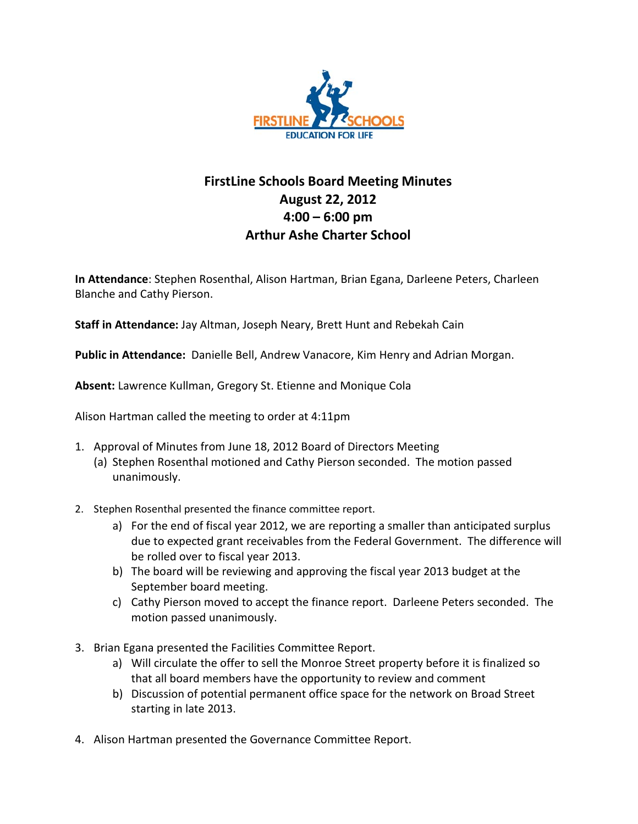

## **FirstLine Schools Board Meeting Minutes August 22, 2012 4:00 – 6:00 pm Arthur Ashe Charter School**

**In Attendance**: Stephen Rosenthal, Alison Hartman, Brian Egana, Darleene Peters, Charleen Blanche and Cathy Pierson.

**Staff in Attendance:** Jay Altman, Joseph Neary, Brett Hunt and Rebekah Cain

**Public in Attendance:** Danielle Bell, Andrew Vanacore, Kim Henry and Adrian Morgan.

**Absent:** Lawrence Kullman, Gregory St. Etienne and Monique Cola

Alison Hartman called the meeting to order at 4:11pm

- 1. Approval of Minutes from June 18, 2012 Board of Directors Meeting
	- (a) Stephen Rosenthal motioned and Cathy Pierson seconded. The motion passed unanimously.
- 2. Stephen Rosenthal presented the finance committee report.
	- a) For the end of fiscal year 2012, we are reporting a smaller than anticipated surplus due to expected grant receivables from the Federal Government. The difference will be rolled over to fiscal year 2013.
	- b) The board will be reviewing and approving the fiscal year 2013 budget at the September board meeting.
	- c) Cathy Pierson moved to accept the finance report. Darleene Peters seconded. The motion passed unanimously.
- 3. Brian Egana presented the Facilities Committee Report.
	- a) Will circulate the offer to sell the Monroe Street property before it is finalized so that all board members have the opportunity to review and comment
	- b) Discussion of potential permanent office space for the network on Broad Street starting in late 2013.
- 4. Alison Hartman presented the Governance Committee Report.